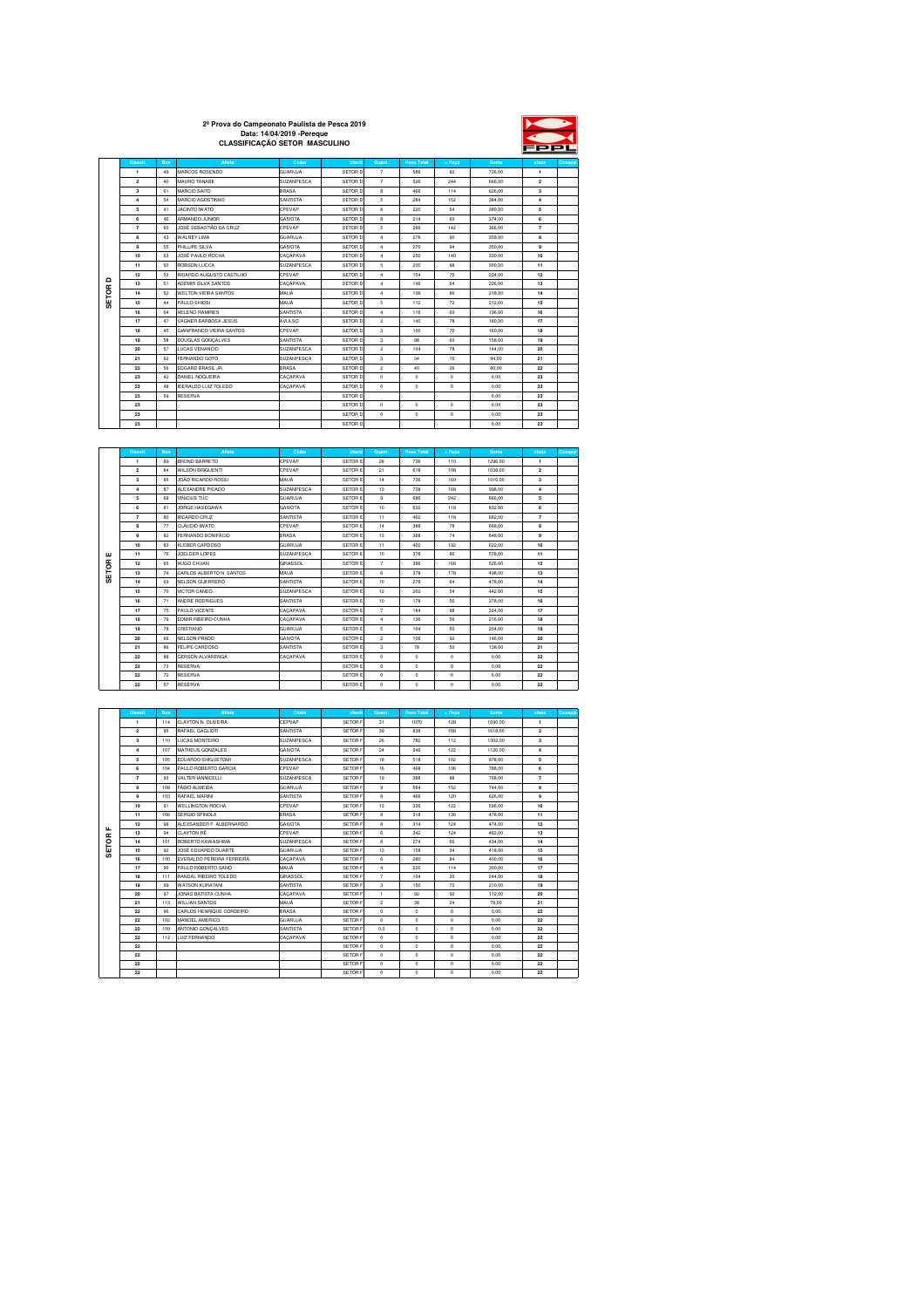|          | 2 <sup>ª</sup> Prova do Campeonato Paulista de Pesca 2019<br>Data: 14/04/2019 - Pereque<br><b>CLASSIFICACÃO SETOR MASCULINO</b> |                |                |         |        |            |        |        | FPPL  |         |
|----------|---------------------------------------------------------------------------------------------------------------------------------|----------------|----------------|---------|--------|------------|--------|--------|-------|---------|
| Classif. | <b>Box</b>                                                                                                                      | Atleta         | <b>Clube</b>   | check   | Quant. | Peso Total | > Peca | Soma   | class | Cosapyl |
|          | 49                                                                                                                              | MARCOS ROSENDO | <b>GUARUJA</b> | SETOR D |        | 586        | 92     | 726.00 |       |         |

|              | Classif.                | <b>Box</b> | <b>Atleta</b>                   | Clube           | check   | Quant.         | Peso Total   | > Peca     | Soma   | class                   | Cosap |
|--------------|-------------------------|------------|---------------------------------|-----------------|---------|----------------|--------------|------------|--------|-------------------------|-------|
|              | $\mathbf{1}$            | 49         | MARCOS ROSENDO                  | <b>GUARUJA</b>  | SETOR D | $\overline{7}$ | 586          | 92         | 726.00 | $\mathbf{1}$            |       |
|              | $\overline{2}$          | 40         | MAURO TANABE                    | SUZANPESCA      | SETOR D | $\overline{7}$ | 526          | 244        | 666.00 | $\overline{2}$          |       |
|              | $\overline{\mathbf{3}}$ | 61         | MARCIO SAITO                    | <b>BRASA</b>    | SETOR D | 8              | 466          | 114        | 626.00 | $\overline{\mathbf{3}}$ |       |
|              | $\overline{4}$          | 54         | MARCIO AGOSTINHO                | SANTISTA        | SETOR D | 5              | 284          | 152        | 384.00 | $\ddot{a}$              |       |
|              | 5                       | 41         | JACINTO IWATO                   | CPEVAP          | SETOR D | 8              | 220          | 54         | 380.00 | 5                       |       |
|              | 6                       | 46         | <b>ARMANDO JÚNIOR</b>           | <b>GAIVOTA</b>  | SETOR D | 8              | 214          | 60         | 374.00 | 6                       |       |
|              | $\overline{7}$          | 60         | JOSÉ SEBASTIÃO DA CRUZ          | CPEVAP          | SETOR D | 5              | 266          | 142        | 366.00 | $\overline{7}$          |       |
|              | 8                       | 43         | <b>WALNEY LIMA</b>              | <b>GUARUJA</b>  | SETOR D | $\ddot{4}$     | 278          | 90         | 358.00 | 8                       |       |
|              | $\mathbf{9}$            | 55         | PHILLIPE SILVA                  | <b>GAIVOTA</b>  | SETOR D | 4              | 270          | 94         | 350.00 | $\mathbf{9}$            |       |
|              | 10                      | 63         | JOSÉ PAULO ROCHA                | CACAPAVA        | SETOR D | 4              | 250          | 140        | 330.00 | 10                      |       |
|              | 11                      | 50         | ROBSON LUCCA                    | SUZANPESCA      | SETOR D | 5              | 200          | 98         | 300.00 | 11                      |       |
|              | 12                      | 53         | RICARDO AUGUSTO CASTILHO        | CPEVAP          | SETOR D | 4              | 154          | 70         | 234.00 | 12                      |       |
| $\Omega$     | 13                      | 51         | ADEMIR SILVA SANTOS             | CACAPAVA        | SETOR D | 4              | 146          | 64         | 226.00 | 13                      |       |
|              | 14                      | 52         | <b>WELTON VIEIRA SANTOS</b>     | <b>MAUÁ</b>     | SETOR D | 4              | 138          | 86         | 218.00 | 14                      |       |
| <b>SETOR</b> | 15                      | 44         | PAULO SHIOSI                    | <b>MAUÁ</b>     | SETOR D | 5              | 112          | 72         | 212.00 | 15                      |       |
|              | 16                      | 64         | <b>HELENO RAMIRES</b>           | <b>SANTISTA</b> | SETOR D | 4              | 116          | 60         | 196.00 | 16                      |       |
|              | 17                      | 47         | VAGNER BARBOSA JESUS            | AVULSO          | SETOR D | $\overline{2}$ | 140          | 78         | 180.00 | 17                      |       |
|              | 18                      | 45         | <b>GIANFRANCO VIEIRA SANTOS</b> | CPEVAP          | SETOR D | 3              | 100          | 70         | 160.00 | 18                      |       |
|              | 19                      | 58         | DOUGLAS GONCALVES               | SANTISTA        | SETOR D | 3              | 98           | 60         | 158.00 | 19                      |       |
|              | 20                      | 57         | <b>LUCAS VENANCIO</b>           | SUZANPESCA      | SETOR D | $\overline{2}$ | 104          | 78         | 144.00 | 20                      |       |
|              | 21                      | 62         | FERNANDO GOTO                   | SUZANPESCA      | SETOR D | 3              | 34           | 16         | 94.00  | 21                      |       |
|              | 22                      | 56         | <b>EDGARD BRASIL JR</b>         | <b>BRASA</b>    | SETOR D | $\overline{c}$ | 40           | 26         | 80.00  | 22                      |       |
|              | 23                      | 42         | DANIEL NOGUEIRA                 | CACAPAVA        | SETOR D | $\theta$       | $\mathbf{0}$ | $\circ$    | 0.00   | 23                      |       |
|              | 23                      | 4R         | <b>IDERALDO LUIZ TOLEDO</b>     | CACAPAVA        | SETOR D | $^{\circ}$     | $\mathbf{0}$ | $^{\circ}$ | 0.00   | 23                      |       |
|              | 23                      | 59         | <b>RESERVA</b>                  |                 | SETOR D |                |              |            | 0.00   | 23                      |       |
|              | 23                      |            |                                 |                 | SETOR D | $\circ$        | $\circ$      | $\circ$    | 0.00   | 23                      |       |
|              | 23                      |            |                                 |                 | SETOR D | $\circ$        | $\circ$      | $\circ$    | 0.00   | 23                      |       |
|              | 23                      |            |                                 |                 | SETOR D |                |              |            | 0.00   | 23                      |       |

|       | Classif.       | <b>Box</b> | Atleta                   | Clube           | check          | Quant.         | Peso Total   | > Peca     | Soma    | class          | Cosapyl |
|-------|----------------|------------|--------------------------|-----------------|----------------|----------------|--------------|------------|---------|----------------|---------|
|       | 1.             | 89         | <b>BRUNO BARRETO</b>     | CPEVAP          | <b>SETORE</b>  | 28             | 736          | 110        | 1296.00 | $\mathbf{1}$   |         |
|       | $\overline{2}$ | 84         | <b>WILSON BRIGUENTI</b>  | CPEVAP          | <b>SETORE</b>  | 21             | 618          | 108        | 1038.00 | $\overline{2}$ |         |
|       | 3              | 85         | JOÃO RICARDO ROSSI       | <b>MAUÁ</b>     | <b>SETORE</b>  | 14             | 736          | 160        | 1016.00 | $\mathbf{3}$   |         |
|       | 4              | 87         | ALEXANDRE PICADO         | SUZANPESCA      | <b>SETORE</b>  | 13             | 738          | 168        | 998.00  | $\overline{4}$ |         |
|       | 5              | 68         | <b>VINICIUS TUC</b>      | <b>GUARUJA</b>  | <b>SETORE</b>  | 9              | 686          | 242        | 866.00  | 5              |         |
|       | 6              | 81         | JORGE HASEGAWA           | <b>GAIVOTA</b>  | <b>SETORE</b>  | 10             | 632          | 118        | 832.00  | 6              |         |
|       | $\overline{7}$ | 80         | RICARDO CRUZ             | SANTISTA        | SETOR E        | 11             | 462          | 118        | 682.00  | $\overline{7}$ |         |
|       | 8              | 77         | CLÁUDIO IWATO            | CPEVAP          | SETOR E        | 14             | 388          | 78         | 668.00  | 8              |         |
|       | 9              | 82         | FERNANDO BONIFÁCIO       | <b>BRASA</b>    | <b>SETORE</b>  | 13             | 388          | 74         | 648.00  | 9              |         |
|       | 10             | 83         | KLEBER CARDOSO           | <b>GUARUJA</b>  | SETOR E        | 11             | 402          | 192        | 622.00  | 10             |         |
| ш     | 11             | 76         | JOELDER LOPES            | SUZANPESCA      | <b>SETORE</b>  | 10             | 378          | 86         | 578.00  | 11             |         |
| SETOR | 12             | 65         | HI IGO CHI JAN           | <b>GIRASSOL</b> | <b>SETORE</b>  | $\overline{7}$ | 386          | 168        | 526.00  | 12             |         |
|       | 13             | 74         | CARLOS ALBERTO N. SANTOS | MAUÁ.           | SETOR E        | 6              | 378          | 178        | 498.00  | 13             |         |
|       | 14             | 69         | NELSON GUERRERO          | SANTISTA        | <b>SETORE</b>  | 10             | 278          | 64         | 478.00  | 14             |         |
|       | 15             | 70         | VICTOR CANEO             | SUZANPESCA      | <b>SETORE</b>  | 12             | 202          | 54         | 442.00  | 15             |         |
|       | 16             | 71         | ANDRE RODRIGUES          | SANTISTA        | <b>SETORE</b>  | 10             | 178          | 56         | 378.00  | 16             |         |
|       | 17             | 75         | PAULO VICENTE            | CACAPAVA        | <b>SETORE</b>  | $\overline{7}$ | 184          | 98         | 324.00  | 17             |         |
|       | 18             | 79         | EDMIR RIBEIRO CUNHA      | CACAPAVA        | SETOR E        | $\ddot{a}$     | 136          | 56         | 216.00  | 18             |         |
|       | 19             | 78         | CRISTIANO                | <b>GUARUJA</b>  | <b>SETORE</b>  | 5              | 104          | 50         | 204.00  | 19             |         |
|       | 20             | 66         | NELSON PRADO             | <b>GAIVOTA</b>  | <b>SETOR E</b> | $\overline{2}$ | 106          | 92         | 146.00  | 20             |         |
|       | 21             | 86         | FELIPE CARDOSO           | SANTISTA        | <b>SETORE</b>  | 3              | 78           | 50         | 138.00  | 21             |         |
|       | 22             | 88         | <b>GERSON ALVARENGA</b>  | CACAPAVA        | <b>SETORE</b>  | $^{\circ}$     | $\mathbf{0}$ | $^{\circ}$ | 0.00    | 22             |         |
|       | 22             | 73         | <b>RESERVA</b>           |                 | SETOR E        | $^{\circ}$     | $\mathbf{0}$ | $^{\circ}$ | 0.00    | 22             |         |
|       | 22             | 72         | <b>RESERVA</b>           |                 | <b>SETORE</b>  | $^{\circ}$     | $\circ$      | $^{\circ}$ | 0.00    | 22             |         |
|       | 22             | 67         | <b>RESERVA</b>           |                 | <b>SETORE</b>  | $^{\circ}$     | $\circ$      | $^{\circ}$ | 0.00    | 22             |         |

|             | Classif.       | <b>Box</b> | Atleta                       | <b>Clube</b>    | check   | Quant.         | Peso Total   | > Peca     | Soma    | class          | Cosapyl |
|-------------|----------------|------------|------------------------------|-----------------|---------|----------------|--------------|------------|---------|----------------|---------|
|             | 1.             | 114        | CLAYTON N. OLIVEIRA          | CEPVAP          | SETOR F | 31             | 1070         | 128        | 1690.00 | $\mathbf{1}$   |         |
|             | $\overline{2}$ | 95         | RAFAEL GAGLIOTI              | SANTISTA        | SETOR F | 39             | 838          | 108        | 1618.00 | $\overline{2}$ |         |
|             | 3              | 110        | <b>LUCAS MONTFIRO</b>        | SUZANPESCA      | SETOR F | 26             | 782          | 112        | 1302.00 | $\mathbf{3}$   |         |
|             | $\overline{4}$ | 107        | MATHEUS GONZALES             | <b>GAIVOTA</b>  | SETOR F | 24             | 646          | 122        | 1126.00 | $\overline{4}$ |         |
|             | 5              | 105        | EDUARDO SHIGUETOMI           | SUZANPESCA      | SETOR F | 18             | 518          | 102        | 878.00  | 5              |         |
|             | 6              | 104        | PAULO ROBERTO GARCIA         | CPEVAP          | SETOR F | 16             | 468          | 136        | 788.00  | 6              |         |
|             | $\overline{7}$ | 93         | VALTER IANNICELLI            | SUZANPESCA      | SETOR F | 19             | 388          | 88         | 768.00  | $\overline{7}$ |         |
|             | 8              | 108        | FÁBIO ALMEIDA                | <b>GUARUJÁ</b>  | SETOR F | 9              | 564          | 152        | 744.00  | 8              |         |
|             | 9              | 103        | <b>RAFAFI MARINI</b>         | SANTISTA        | SETOR F | 8              | 466          | 120        | 626.00  | $\mathbf{9}$   |         |
|             | 10             | 91         | <b>WELLINGTON ROCHA</b>      | CPEVAP          | SETOR F | 13             | 336          | 122        | 596.00  | 10             |         |
|             | 11             | 106        | SERGIO SPINOLA               | <b>BRASA</b>    | SETOR F | 8              | 318          | 136        | 478.00  | 11             |         |
|             | 12             | 98         | ALEXSANDER F. ALBERNARDO     | <b>GAIVOTA</b>  | SETOR F | 8              | 314          | 124        | 474.00  | 12             |         |
| щ<br>œ      | 13             | 94         | <b>CLAYTON RÉ</b>            | CPEVAP          | SETOR F | 6              | 342          | 124        | 462.00  | 13             |         |
|             | 14             | 101        | ROBERTO KAWASHIMA            | SUZANPESCA      | SETOR F | 8              | 274          | 66         | 434.00  | 14             |         |
| <b>SETO</b> | 15             | 92         | JOSÉ EDUARDO DUARTE          | <b>GUARUJA</b>  | SETOR F | 13             | 158          | 34         | 418.00  | 15             |         |
|             | 16             | 100        | EVERALDO PEREIRA FERREIRA    | CACAPAVA        | SETOR F | 6              | 280          | 84         | 400.00  | 16             |         |
|             | 17             | 90         | PAULO ROBERTO SANO           | <b>MAUÁ</b>     | SETOR F | $\ddot{a}$     | 220          | 114        | 300.00  | 17             |         |
|             | 18             | 111        | <b>BANDAL BIREIRO TOLEDO</b> | <b>GIRASSOL</b> | SETOR F | $\overline{7}$ | 104          | 30         | 244.00  | 18             |         |
|             | 19             | 99         | <b>WATSON KURATANI</b>       | SANTISTA        | SETOR F | 3              | 150          | 72         | 210.00  | 19             |         |
|             | 20             | 97         | JONAS BATISTA CUNHA          | CACAPAVA        | SETOR F | $\mathbf{1}$   | 92           | 92         | 112.00  | 20             |         |
|             | 21             | 113        | <b>WILLIAN SANTOS</b>        | <b>MAUÁ</b>     | SETOR F | $\overline{2}$ | 38           | 24         | 78.00   | 21             |         |
|             | 22             | 96         | CARLOS HENRIQUE CORDEIRO     | <b>BRASA</b>    | SETOR F | $^{\circ}$     | $\mathbf{0}$ | $^{\circ}$ | 0.00    | 22             |         |
|             | 22             | 102        | MANOEL AMERICO               | <b>GUARUJA</b>  | SETOR F | $\Omega$       | $\Omega$     | $\circ$    | 0.00    | 22             |         |
|             | 22             | 109        | ANTONIO GONÇALVES            | SANTISTA        | SETOR F | 0.0            | $\Omega$     | $^{\circ}$ | 0.00    | 22             |         |
|             | 22             | 112        | LUIZ FERNANDO                | CACAPAVA        | SETOR F | $^{\circ}$     | $\mathbf{0}$ | $^{\circ}$ | 0.00    | 22             |         |
|             | 22             |            |                              |                 | SETOR F | $^{\circ}$     | $\mathbf{0}$ | $^{\circ}$ | 0.00    | 22             |         |
|             | 22             |            |                              |                 | SETOR F | $^{\circ}$     | $\mathbf{0}$ | $^{\circ}$ | 0.00    | 22             |         |
|             | 22             |            |                              |                 | SETOR F | $\circ$        | $\circ$      | $\circ$    | 0.00    | 22             |         |
|             | 22             |            |                              |                 | SETOR F | $\circ$        | $\mathbf{0}$ | $\circ$    | 0.00    | 22             |         |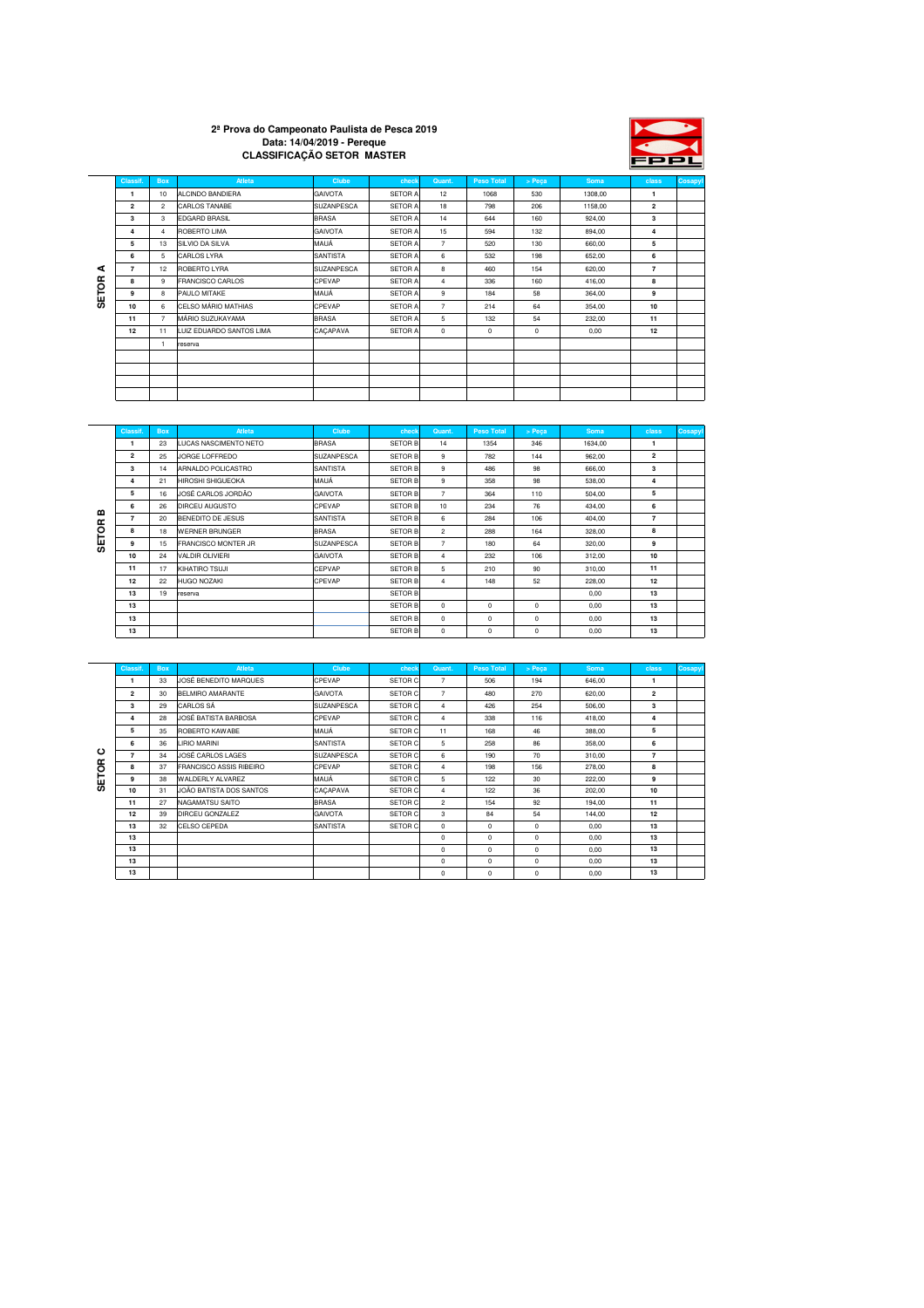### **2ª Prova do Campeonato Paulista de Pesca 2019 Data: 14/04/2019 - Pereque CLASSIFICAÇÃO SETOR MASTER**



|              | Classif.       | <b>Box</b>     | Atleta                   | <b>Clube</b>      | check          | Quant.         | <b>Peso Total</b> | > Peca | Soma    | class                   | Cosapyl |
|--------------|----------------|----------------|--------------------------|-------------------|----------------|----------------|-------------------|--------|---------|-------------------------|---------|
|              | 1              | 10             | ALCINDO BANDIERA         | <b>GAIVOTA</b>    | <b>SETOR A</b> | 12             | 1068              | 530    | 1308,00 | 1                       |         |
|              | $\overline{2}$ | $\overline{2}$ | CARLOS TANABE            | <b>SUZANPESCA</b> | <b>SETOR A</b> | 18             | 798               | 206    | 1158,00 | $\overline{\mathbf{2}}$ |         |
|              | 3              | 3              | <b>EDGARD BRASIL</b>     | <b>BRASA</b>      | SETOR A        | 14             | 644               | 160    | 924,00  | 3                       |         |
|              | 4              | $\overline{4}$ | ROBERTO LIMA             | <b>GAIVOTA</b>    | <b>SETOR A</b> | 15             | 594               | 132    | 894,00  | 4                       |         |
|              | 5              | 13             | SILVIO DA SILVA          | MAUÁ              | SETOR A        | $\overline{7}$ | 520               | 130    | 660,00  | 5                       |         |
|              | 6              | 5              | <b>CARLOS LYRA</b>       | <b>SANTISTA</b>   | <b>SETOR A</b> | 6              | 532               | 198    | 652,00  | 6                       |         |
| ⋖            | $\overline{7}$ | 12             | <b>ROBERTO LYRA</b>      | SUZANPESCA        | <b>SETOR A</b> | 8              | 460               | 154    | 620,00  | $\overline{7}$          |         |
|              | 8              | 9              | <b>FRANCISCO CARLOS</b>  | CPEVAP            | <b>SETOR A</b> | $\overline{4}$ | 336               | 160    | 416,00  | 8                       |         |
| <b>SETOR</b> | 9              | 8              | PAULO MITAKE             | MAUÁ              | <b>SETOR A</b> | 9              | 184               | 58     | 364,00  | 9                       |         |
|              | 10             | 6              | CELSO MÁRIO MATHIAS      | CPEVAP            | <b>SETOR A</b> | $\overline{7}$ | 214               | 64     | 354,00  | 10                      |         |
|              | 11             | $\overline{7}$ | MÁRIO SUZUKAYAMA         | <b>BRASA</b>      | <b>SETOR A</b> | 5              | 132               | 54     | 232,00  | 11                      |         |
|              | 12             | 11             | LUIZ EDUARDO SANTOS LIMA | CACAPAVA          | SETOR A        | $^{\circ}$     | $^{\circ}$        | 0      | 0,00    | 12                      |         |
|              |                | 1              | reserva                  |                   |                |                |                   |        |         |                         |         |
|              |                |                |                          |                   |                |                |                   |        |         |                         |         |
|              |                |                |                          |                   |                |                |                   |        |         |                         |         |
|              |                |                |                          |                   |                |                |                   |        |         |                         |         |
|              |                |                |                          |                   |                |                |                   |        |         |                         |         |

|   | <b>Classif</b> | <b>Box</b> | Atleta                   | Clube             | check          | Quant.         | <b>Peso Total</b> | > Peca     | Soma    | class          | Cosapyl |
|---|----------------|------------|--------------------------|-------------------|----------------|----------------|-------------------|------------|---------|----------------|---------|
|   | -1             | 23         | LUCAS NASCIMENTO NETO    | <b>BRASA</b>      | <b>SETOR B</b> | 14             | 1354              | 346        | 1634.00 | $\mathbf{1}$   |         |
|   | $\overline{2}$ | 25         | <b>JORGE LOFFREDO</b>    | <b>SUZANPESCA</b> | <b>SETOR B</b> | 9              | 782               | 144        | 962.00  | $\overline{2}$ |         |
|   | 3              | 14         | ARNALDO POLICASTRO       | <b>SANTISTA</b>   | <b>SETOR B</b> | 9              | 486               | 98         | 666.00  | 3              |         |
|   | 4              | 21         | <b>HIROSHI SHIGUEOKA</b> | MAUÁ              | <b>SETOR B</b> | 9              | 358               | 98         | 538,00  | 4              |         |
|   | 5              | 16         | JOSÉ CARLOS JORDÃO       | <b>GAIVOTA</b>    | <b>SETOR B</b> | $\overline{7}$ | 364               | 110        | 504.00  | 5              |         |
| m | 6              | 26         | <b>DIRCEU AUGUSTO</b>    | CPEVAP            | <b>SETOR B</b> | 10             | 234               | 76         | 434.00  | 6              |         |
|   | $\overline{7}$ | 20         | <b>BENEDITO DE JESUS</b> | <b>SANTISTA</b>   | <b>SETOR B</b> | 6              | 284               | 106        | 404.00  | $\overline{7}$ |         |
| ξ | 8              | 18         | <b>WERNER BRUNGER</b>    | <b>BRASA</b>      | <b>SETOR B</b> | $\overline{2}$ | 288               | 164        | 328.00  | 8              |         |
| ₩ | 9              | 15         | FRANCISCO MONTER JR      | <b>SUZANPESCA</b> | <b>SETOR B</b> | $\overline{7}$ | 180               | 64         | 320.00  | 9              |         |
|   | 10             | 24         | VALDIR OLIVIERI          | <b>GAIVOTA</b>    | <b>SETOR B</b> | $\overline{4}$ | 232               | 106        | 312,00  | 10             |         |
|   | 11             | 17         | KIHATIRO TSUJI           | CEPVAP            | <b>SETOR B</b> | 5              | 210               | 90         | 310.00  | 11             |         |
|   | 12             | 22         | <b>HUGO NOZAKI</b>       | <b>CPEVAP</b>     | <b>SETOR B</b> | 4              | 148               | 52         | 228.00  | 12             |         |
|   | 13             | 19         | reserva                  |                   | <b>SETOR B</b> |                |                   |            | 0.00    | 13             |         |
|   | 13             |            |                          |                   | <b>SETOR B</b> | $\Omega$       | $\Omega$          | $^{\circ}$ | 0,00    | 13             |         |
|   | 13             |            |                          |                   | <b>SETOR B</b> | $\Omega$       | $\Omega$          | $^{\circ}$ | 0,00    | 13             |         |
|   | 13             |            |                          |                   | <b>SETOR B</b> | $\Omega$       | $\Omega$          | $^{\circ}$ | 0,00    | 13             |         |

|              | Classif.       | <b>Box</b> | Atleta                   | Clube             | check   | Quant.         | <b>Peso Total</b> | > Peca     | Soma   | class          | Cosapyl |
|--------------|----------------|------------|--------------------------|-------------------|---------|----------------|-------------------|------------|--------|----------------|---------|
|              |                | 33         | JOSÉ BENEDITO MARQUES    | CPFVAP            | SETOR C | $\overline{7}$ | 506               | 194        | 646.00 | 1              |         |
|              | $\overline{2}$ | 30         | <b>BEI MIRO AMARANTE</b> | GAIVOTA           | SETOR C | $\overline{7}$ | 480               | 270        | 620.00 | $\overline{2}$ |         |
|              | 3              | 29         | <b>CARLOS SA</b>         | <b>SUZANPESCA</b> | SETOR C | 4              | 426               | 254        | 506.00 | 3              |         |
|              | 4              | 28         | JOSÉ BATISTA BARBOSA     | CPEVAP            | SETOR C | $\overline{4}$ | 338               | 116        | 418,00 | 4              |         |
|              | 5              | 35         | ROBERTO KAWABE           | MAUÁ              | SETOR C | 11             | 168               | 46         | 388.00 | 5              |         |
|              | 6              | 36         | <b>I IRIO MARINI</b>     | <b>SANTISTA</b>   | SETOR C | 5              | 258               | 86         | 358.00 | 6              |         |
| ပ            | $\overline{7}$ | 34         | JOSÉ CARLOS LAGES        | SUZANPESCA        | SETOR C | 6              | 190               | 70         | 310.00 | $\overline{7}$ |         |
| <b>SETOR</b> | 8              | 37         | FRANCISCO ASSIS RIBEIRO  | CPEVAP            | SETOR C | 4              | 198               | 156        | 278.00 | 8              |         |
|              | 9              | 38         | WAI DERI Y AI VAREZ      | MAUÁ              | SETOR C | 5              | 122               | 30         | 222,00 | 9              |         |
|              | 10             | 31         | JOÃO BATISTA DOS SANTOS  | CACAPAVA          | SETOR C | $\overline{4}$ | 122               | 36         | 202,00 | 10             |         |
|              | 11             | 27         | NAGAMATSU SAITO          | <b>BRASA</b>      | SETOR C | $\overline{2}$ | 154               | 92         | 194.00 | 11             |         |
|              | 12             | 39         | DIRCELL GONZALEZ         | <b>GAIVOTA</b>    | SETOR C | 3              | 84                | 54         | 144.00 | 12             |         |
|              | 13             | 32         | CELSO CEPEDA             | <b>SANTISTA</b>   | SETOR C | $\Omega$       | $\Omega$          | $\Omega$   | 0,00   | 13             |         |
|              | 13             |            |                          |                   |         | 0              | $\Omega$          | $^{\circ}$ | 0,00   | 13             |         |
|              | 13             |            |                          |                   |         | $\Omega$       | $\Omega$          | $\Omega$   | 0.00   | 13             |         |
|              | 13             |            |                          |                   |         | 0              | $\Omega$          | $\Omega$   | 0,00   | 13             |         |
|              | 13             |            |                          |                   |         | 0              | $\Omega$          | 0          | 0.00   | 13             |         |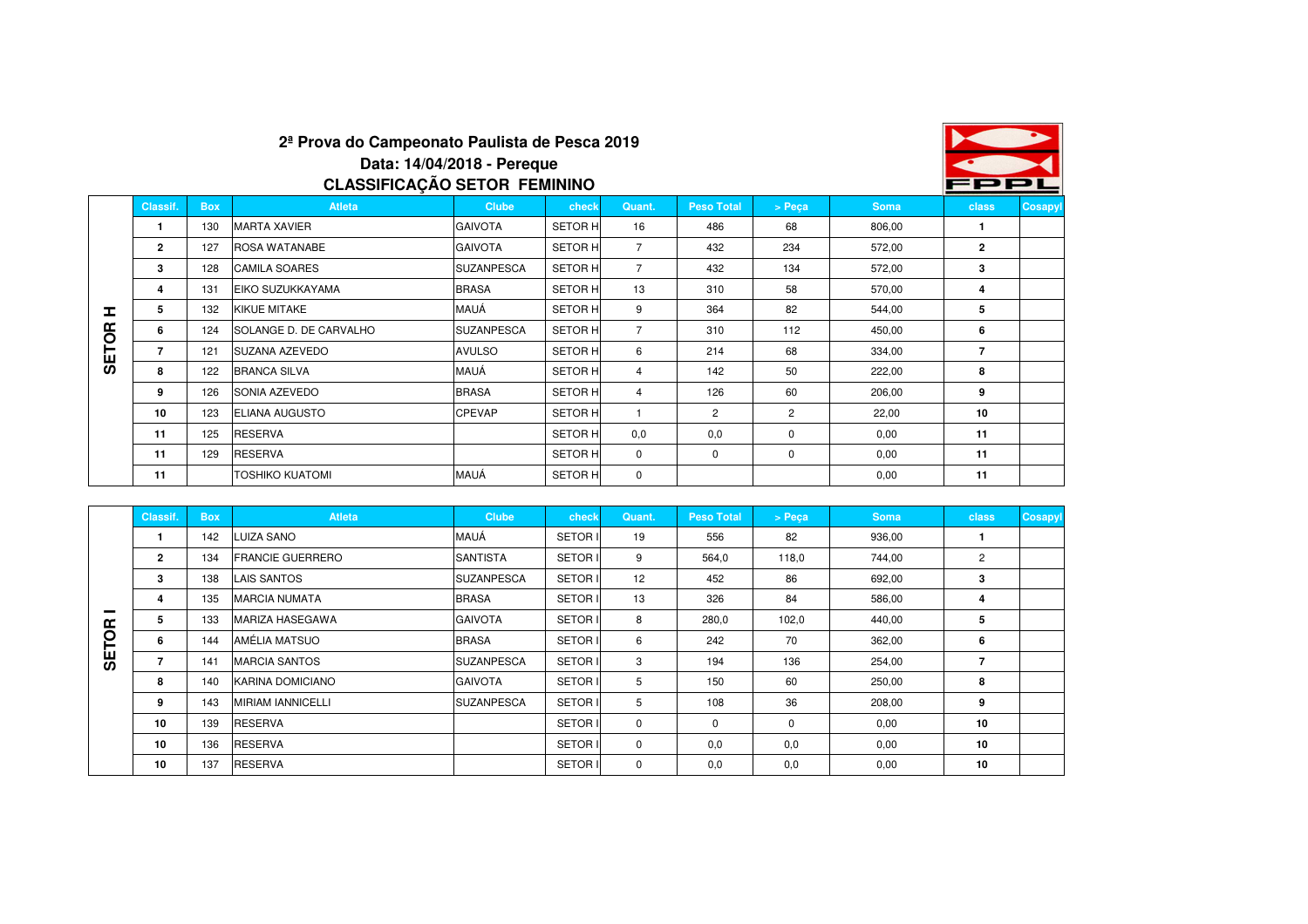

# **2ª Prova do Campeonato Paulista de Pesca 2019Data: 14/04/2018 - PerequeCLASSIFICAÇÃO SETOR FEMININO**

|              | Classif.     | <b>Box</b> | <b>Atleta</b>          | <b>Clube</b>      | check          | Quant.         | <b>Peso Total</b> | > Peca | Soma   | class          | Cosapyl |
|--------------|--------------|------------|------------------------|-------------------|----------------|----------------|-------------------|--------|--------|----------------|---------|
|              |              | 130        | <b>MARTA XAVIER</b>    | <b>GAIVOTA</b>    | <b>SETOR H</b> | 16             | 486               | 68     | 806,00 |                |         |
|              | $\mathbf{2}$ | 127        | <b>ROSA WATANABE</b>   | <b>GAIVOTA</b>    | <b>SETOR H</b> | 7              | 432               | 234    | 572,00 | $\overline{2}$ |         |
|              | 3            | 128        | <b>CAMILA SOARES</b>   | <b>SUZANPESCA</b> | <b>SETOR H</b> | $\overline{7}$ | 432               | 134    | 572,00 | 3              |         |
|              | 4            | 131        | EIKO SUZUKKAYAMA       | <b>BRASA</b>      | <b>SETOR H</b> | 13             | 310               | 58     | 570,00 | 4              |         |
| I.           | 5            | 132        | <b>KIKUE MITAKE</b>    | MAUÁ              | <b>SETOR H</b> | 9              | 364               | 82     | 544,00 | 5              |         |
|              | 6            | 124        | SOLANGE D. DE CARVALHO | <b>SUZANPESCA</b> | <b>SETOR H</b> | $\overline{7}$ | 310               | 112    | 450,00 | 6              |         |
| <b>SETOR</b> |              | 121        | SUZANA AZEVEDO         | <b>AVULSO</b>     | <b>SETOR H</b> | 6              | 214               | 68     | 334,00 | $\overline{7}$ |         |
|              | 8            | 122        | <b>BRANCA SILVA</b>    | MAUÁ              | <b>SETOR H</b> | 4              | 142               | 50     | 222,00 | 8              |         |
|              | 9            | 126        | <b>SONIA AZEVEDO</b>   | <b>BRASA</b>      | <b>SETOR H</b> | $\overline{4}$ | 126               | 60     | 206,00 | 9              |         |
|              | 10           | 123        | <b>ELIANA AUGUSTO</b>  | <b>CPEVAP</b>     | <b>SETOR H</b> |                | $\overline{2}$    | 2      | 22,00  | 10             |         |
|              | 11           | 125        | <b>RESERVA</b>         |                   | <b>SETOR H</b> | 0,0            | 0,0               | 0      | 0,00   | 11             |         |
|              | 11           | 129        | <b>RESERVA</b>         |                   | <b>SETOR H</b> | $\mathbf 0$    | 0                 | 0      | 0,00   | 11             |         |
|              | 11           |            | <b>TOSHIKO KUATOMI</b> | MAUÁ              | <b>SETOR H</b> | 0              |                   |        | 0.00   | 11             |         |

|            | Classif.       | <b>Box</b> | <b>Atleta</b>            | <b>Clube</b>      | check          | Quant. | <b>Peso Total</b> | > Peca      | <b>Soma</b> | class | Cosapyl |
|------------|----------------|------------|--------------------------|-------------------|----------------|--------|-------------------|-------------|-------------|-------|---------|
|            |                | 142        | LUIZA SANO               | MAUÁ              | SETOR I        | 19     | 556               | 82          | 936,00      |       |         |
|            | $\overline{2}$ | 134        | <b>FRANCIE GUERRERO</b>  | <b>SANTISTA</b>   | <b>SETOR I</b> | 9      | 564,0             | 118,0       | 744,00      | 2     |         |
|            | 3              | 138        | <b>LAIS SANTOS</b>       | <b>SUZANPESCA</b> | SETOR I        | 12     | 452               | 86          | 692,00      | 3     |         |
|            | 4              | 135        | <b>MARCIA NUMATA</b>     | <b>BRASA</b>      | <b>SETORI</b>  | 13     | 326               | 84          | 586,00      | 4     |         |
| œ          | 5              | 133        | MARIZA HASEGAWA          | <b>GAIVOTA</b>    | SETOR I        | 8      | 280,0             | 102,0       | 440,00      | 5     |         |
| $\circ$    | 6              | 144        | AMÉLIA MATSUO            | <b>BRASA</b>      | SETOR I        | 6      | 242               | 70          | 362,00      | 6     |         |
| <b>GET</b> |                | 141        | <b>MARCIA SANTOS</b>     | <b>SUZANPESCA</b> | SETOR I        | 3      | 194               | 136         | 254,00      | 7     |         |
|            | 8              | 140        | KARINA DOMICIANO         | <b>GAIVOTA</b>    | <b>SETOR I</b> | 5      | 150               | 60          | 250,00      | 8     |         |
|            | 9              | 143        | <b>MIRIAM IANNICELLI</b> | <b>SUZANPESCA</b> | <b>SETOR I</b> | 5      | 108               | 36          | 208,00      | 9     |         |
|            | 10             | 139        | <b>RESERVA</b>           |                   | <b>SETOR I</b> | 0      | $\mathbf 0$       | $\mathbf 0$ | 0,00        | 10    |         |
|            | 10             | 136        | <b>RESERVA</b>           |                   | SETOR I        | 0      | 0,0               | 0,0         | 0,00        | 10    |         |
|            | 10             | 137        | <b>RESERVA</b>           |                   | <b>SETORI</b>  | 0      | 0,0               | 0,0         | 0,00        | 10    |         |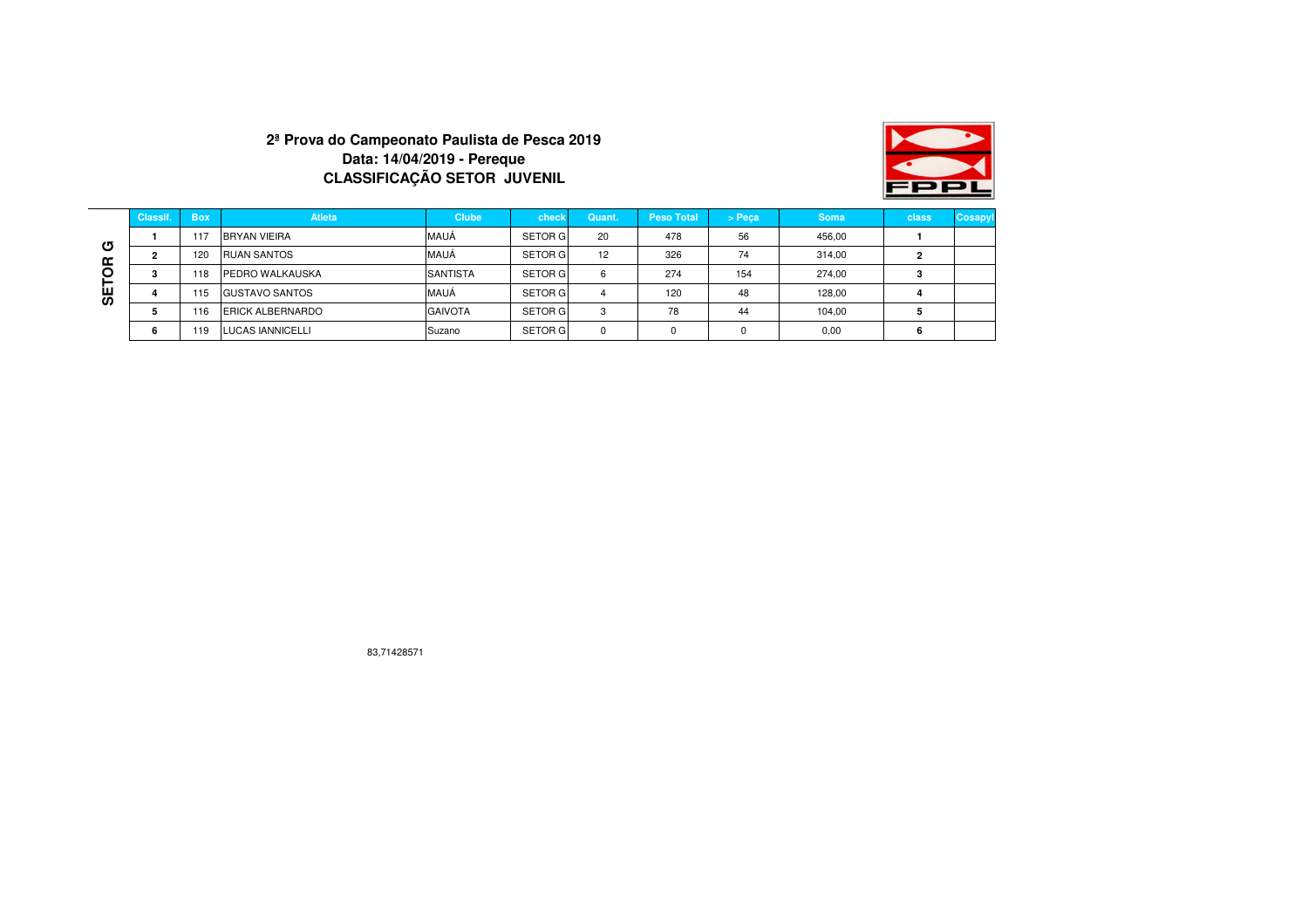## **2ª Prova do Campeonato Paulista de Pesca 2019Data: 14/04/2019 - PerequeCLASSIFICAÇÃO SETOR JUVENIL**



|        | Classif. | <b>Box</b> | <b>Atleta</b>           | <b>Clube</b>    | check          | Quant. | <b>Peso Total</b> | > Peca   | <b>Soma</b> | <b>class</b> | Cosapyl |
|--------|----------|------------|-------------------------|-----------------|----------------|--------|-------------------|----------|-------------|--------------|---------|
|        |          | 117        | <b>BRYAN VIEIRA</b>     | MAUÁ            | <b>SETOR G</b> | 20     | 478               | 56       | 456,00      |              |         |
| თ<br>ᡤ |          | 120        | <b>RUAN SANTOS</b>      | MAUÁ            | <b>SETOR G</b> | 12     | 326               | 74       | 314,00      |              |         |
|        | o<br>-3  | 118        | PEDRO WALKAUSKA         | <b>SANTISTA</b> | <b>SETOR G</b> | 6      | 274               | 154      | 274,00      |              |         |
| ш<br>ഗ |          | 115        | <b>GUSTAVO SANTOS</b>   | MAUÁ            | <b>SETOR G</b> | 4      | 120               | 48       | 128,00      |              |         |
|        |          | 116        | <b>ERICK ALBERNARDO</b> | <b>GAIVOTA</b>  | <b>SETOR G</b> | 3      | 78                | 44       | 104,00      |              |         |
|        |          | 119        | <b>LUCAS IANNICELLI</b> | Suzano          | <b>SETOR G</b> | 0      | 0                 | $\Omega$ | 0.00        |              |         |

83,71428571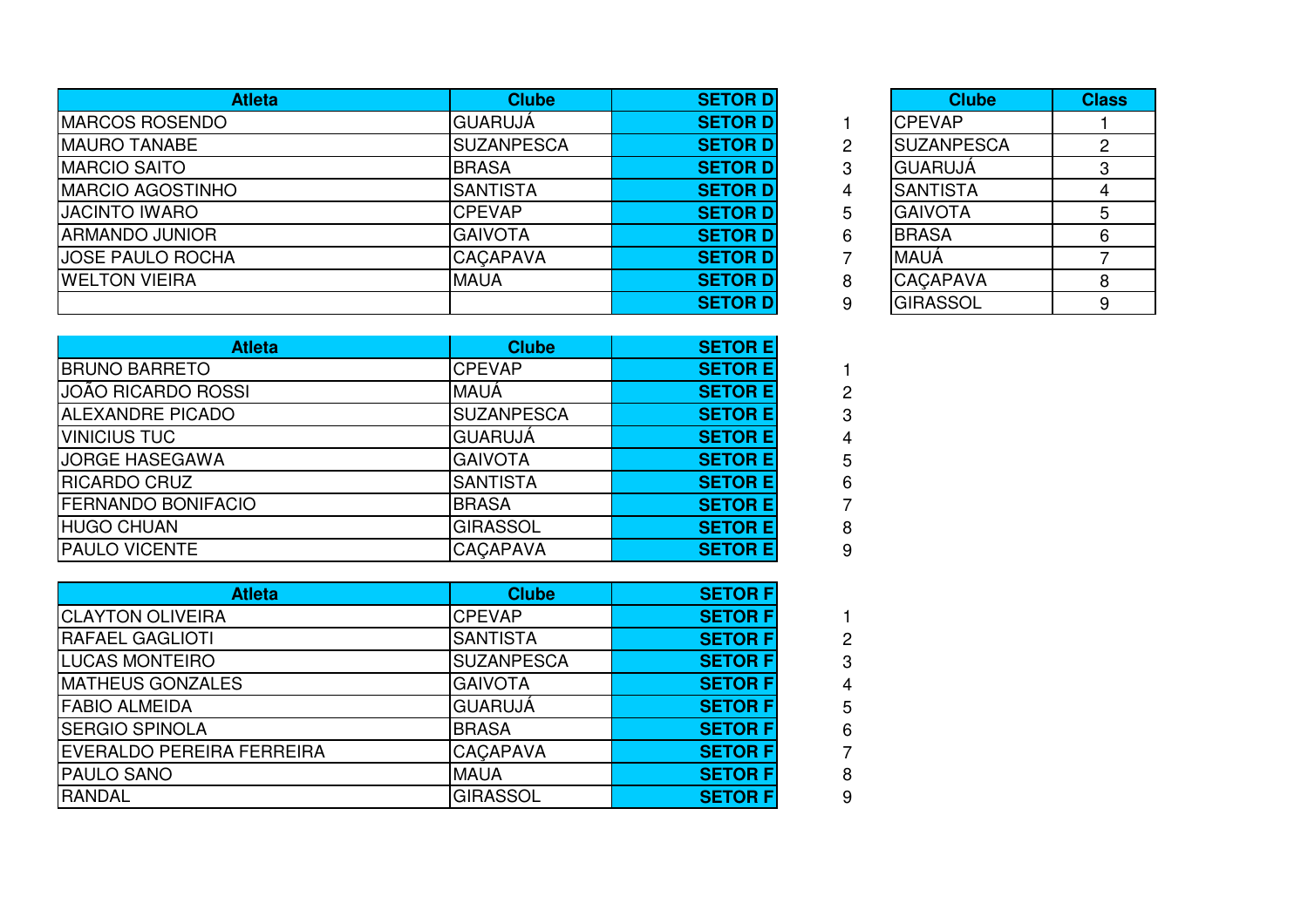| <b>Atleta</b>            | <b>Clube</b>      | <b>SETOR D</b>  |   | <b>Clube</b>       | <b>Class</b> |
|--------------------------|-------------------|-----------------|---|--------------------|--------------|
| <b>IMARCOS ROSENDO</b>   | <b>GUARUJÁ</b>    | <b>SETOR DI</b> |   | <b>ICPEVAP</b>     |              |
| <b>MAURO TANABE</b>      | <b>SUZANPESCA</b> | <b>SETOR DI</b> |   | <b>ISUZANPESCA</b> |              |
| <b>MARCIO SAITO</b>      | <b>BRASA</b>      | <b>SETOR DI</b> |   | <b>IGUARUJA</b>    |              |
| <b>IMARCIO AGOSTINHO</b> | <b>SANTISTA</b>   | <b>SETOR DI</b> | 4 | <b>ISANTISTA</b>   |              |
| <b>JACINTO IWARO</b>     | <b>CPEVAP</b>     | <b>SETOR DI</b> | 5 | <b>IGAIVOTA</b>    |              |
| <b>ARMANDO JUNIOR</b>    | <b>GAIVOTA</b>    | <b>SETOR DI</b> | 6 | <b>BRASA</b>       | 6            |
| <b>JOSE PAULO ROCHA</b>  | <b>CACAPAVA</b>   | <b>SETOR D</b>  |   | <b>MAUÁ</b>        |              |
| <b>WELTON VIEIRA</b>     | <b>MAUA</b>       | <b>SETOR DI</b> | 8 | <b>CACAPAVA</b>    | 8            |
|                          |                   | <b>SETOR D</b>  |   | <b>GIRASSOL</b>    | 9            |

| $\overline{\mathsf{D}}$ |   | <b>Clube</b>      | <b>Class</b>   |
|-------------------------|---|-------------------|----------------|
| $\overline{\mathsf{D}}$ |   | <b>CPEVAP</b>     |                |
| $\overline{\mathsf{D}}$ | 2 | <b>SUZANPESCA</b> | $\overline{2}$ |
| D                       | 3 | <b>GUARUJÁ</b>    | 3              |
| $\overline{\mathsf{D}}$ | 4 | <b>SANTISTA</b>   |                |
| D                       | 5 | <b>GAIVOTA</b>    | 5              |
| $\overline{\mathsf{D}}$ | 6 | <b>BRASA</b>      | 6              |
| $\overline{\mathsf{D}}$ |   | MAUÁ              |                |
| $\overline{\mathsf{D}}$ | 8 | CAÇAPAVA          | 8              |
| D                       | 9 | <b>GIRASSOL</b>   |                |

2 3

4

5 6 7

8 9

2 3

4

5 6 7

8 9

| <b>Atleta</b>             | <b>Clube</b>      | <b>SETOR E</b>  |  |
|---------------------------|-------------------|-----------------|--|
| <b>BRUNO BARRETO</b>      | <b>CPEVAP</b>     | <b>SETOR EI</b> |  |
| JOÃO RICARDO ROSSI        | <b>MAUÁ</b>       | <b>SETOR EI</b> |  |
| <b>ALEXANDRE PICADO</b>   | <b>SUZANPESCA</b> | <b>SETOR EI</b> |  |
| <b>VINICIUS TUC</b>       | <b>GUARUJÁ</b>    | <b>SETOR EI</b> |  |
| <b>JORGE HASEGAWA</b>     | <b>GAIVOTA</b>    | <b>SETOR EI</b> |  |
| <b>RICARDO CRUZ</b>       | <b>SANTISTA</b>   | <b>SETOR EI</b> |  |
| <b>FERNANDO BONIFACIO</b> | <b>BRASA</b>      | <b>SETOR EI</b> |  |
| <b>HUGO CHUAN</b>         | <b>GIRASSOL</b>   | <b>SETOR EI</b> |  |
| <b>PAULO VICENTE</b>      | <b>CACAPAVA</b>   | <b>SETOR EI</b> |  |

| <b>Atleta</b>              | <b>Clube</b>      | <b>SETOR F</b>  |  |
|----------------------------|-------------------|-----------------|--|
| <b>ICLAYTON OLIVEIRA</b>   | <b>CPEVAP</b>     | <b>SETOR FI</b> |  |
| <b>RAFAEL GAGLIOTI</b>     | <b>SANTISTA</b>   | <b>SETOR F</b>  |  |
| <b>LUCAS MONTEIRO</b>      | <b>SUZANPESCA</b> | <b>SETOR FI</b> |  |
| <b>MATHEUS GONZALES</b>    | <b>GAIVOTA</b>    | <b>SETOR F</b>  |  |
| <b>FABIO ALMEIDA</b>       | <b>GUARUJÁ</b>    | <b>SETOR F</b>  |  |
| <b>SERGIO SPINOLA</b>      | <b>BRASA</b>      | <b>SETOR FI</b> |  |
| IEVERALDO PEREIRA FERREIRA | <b>CACAPAVA</b>   | <b>SETOR F</b>  |  |
| <b>PAULO SANO</b>          | <b>MAUA</b>       | <b>SETOR F</b>  |  |
| <b>RANDAL</b>              | <b>GIRASSOL</b>   | <b>SETOR F</b>  |  |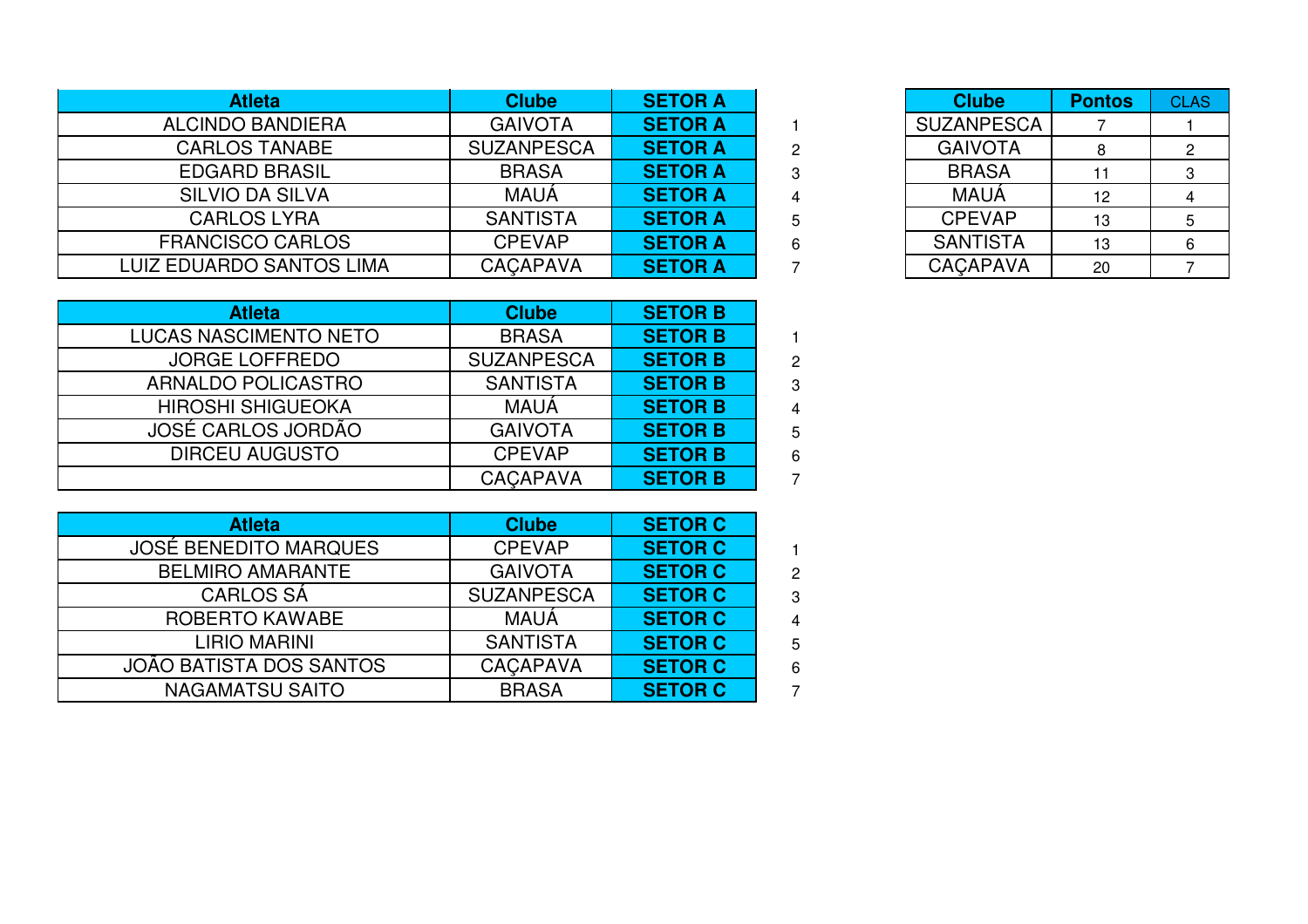| <b>Atleta</b>                   | <b>Clube</b>      | <b>SETOR A</b> | <b>Clube</b>      | <b>Pontos</b> |
|---------------------------------|-------------------|----------------|-------------------|---------------|
| <b>ALCINDO BANDIERA</b>         | <b>GAIVOTA</b>    | <b>SETOR A</b> | <b>SUZANPESCA</b> |               |
| <b>CARLOS TANABE</b>            | <b>SUZANPESCA</b> | <b>SETOR A</b> | <b>GAIVOTA</b>    |               |
| <b>EDGARD BRASIL</b>            | <b>BRASA</b>      | <b>SETOR A</b> | <b>BRASA</b>      |               |
| <b>SILVIO DA SILVA</b>          | <b>MAUA</b>       | <b>SETOR A</b> | <b>MAUA</b>       | 12            |
| <b>CARLOS LYRA</b>              | <b>SANTISTA</b>   | <b>SETOR A</b> | <b>CPEVAP</b>     | 13            |
| <b>FRANCISCO CARLOS</b>         | <b>CPEVAP</b>     | <b>SETOR A</b> | <b>SANTISTA</b>   | 13            |
| <b>LUIZ EDUARDO SANTOS LIMA</b> | <b>CACAPAVA</b>   | <b>SETOR A</b> | <b>CACAPAVA</b>   | 20            |

| A                       |   | <b>Clube</b>      | <b>Pontos</b> | <b>CLAS</b> |
|-------------------------|---|-------------------|---------------|-------------|
| A                       |   | <b>SUZANPESCA</b> |               |             |
| A                       | 2 | <b>GAIVOTA</b>    |               |             |
| $\overline{\mathsf{A}}$ | 3 | <b>BRASA</b>      |               | З           |
| A                       |   | <b>MAUÁ</b>       | 12            |             |
| A                       | 5 | <b>CPEVAP</b>     | 13            | 5           |
| A                       | 6 | <b>SANTISTA</b>   | 13            | 6           |
| A                       |   | <b>CACAPAVA</b>   | 20            |             |

<sup>1</sup>

| <b>Clube</b>      | <b>SETOR B</b> |
|-------------------|----------------|
| <b>BRASA</b>      | <b>SETOR B</b> |
| <b>SUZANPESCA</b> | <b>SETOR B</b> |
| <b>SANTISTA</b>   | <b>SETOR B</b> |
| <b>MAUÁ</b>       | <b>SETOR B</b> |
| <b>GAIVOTA</b>    | <b>SETOR B</b> |
| <b>CPEVAP</b>     | <b>SETOR B</b> |
| CAÇAPAVA          | <b>SETOR B</b> |
|                   |                |

| <b>Atleta</b>                  | <b>Clube</b>      | <b>SETOR C</b> |
|--------------------------------|-------------------|----------------|
| <b>JOSÉ BENEDITO MARQUES</b>   | <b>CPEVAP</b>     | <b>SETOR C</b> |
| <b>BELMIRO AMARANTE</b>        | <b>GAIVOTA</b>    | <b>SETOR C</b> |
| <b>CARLOS SÁ</b>               | <b>SUZANPESCA</b> | <b>SETOR C</b> |
| ROBERTO KAWABE                 | <b>MAUÁ</b>       | <b>SETOR C</b> |
| <b>LIRIO MARINI</b>            | <b>SANTISTA</b>   | <b>SETOR C</b> |
| <b>JOÃO BATISTA DOS SANTOS</b> | <b>CACAPAVA</b>   | <b>SETOR C</b> |
| <b>NAGAMATSU SAITO</b>         | <b>BRASA</b>      | <b>SETOR C</b> |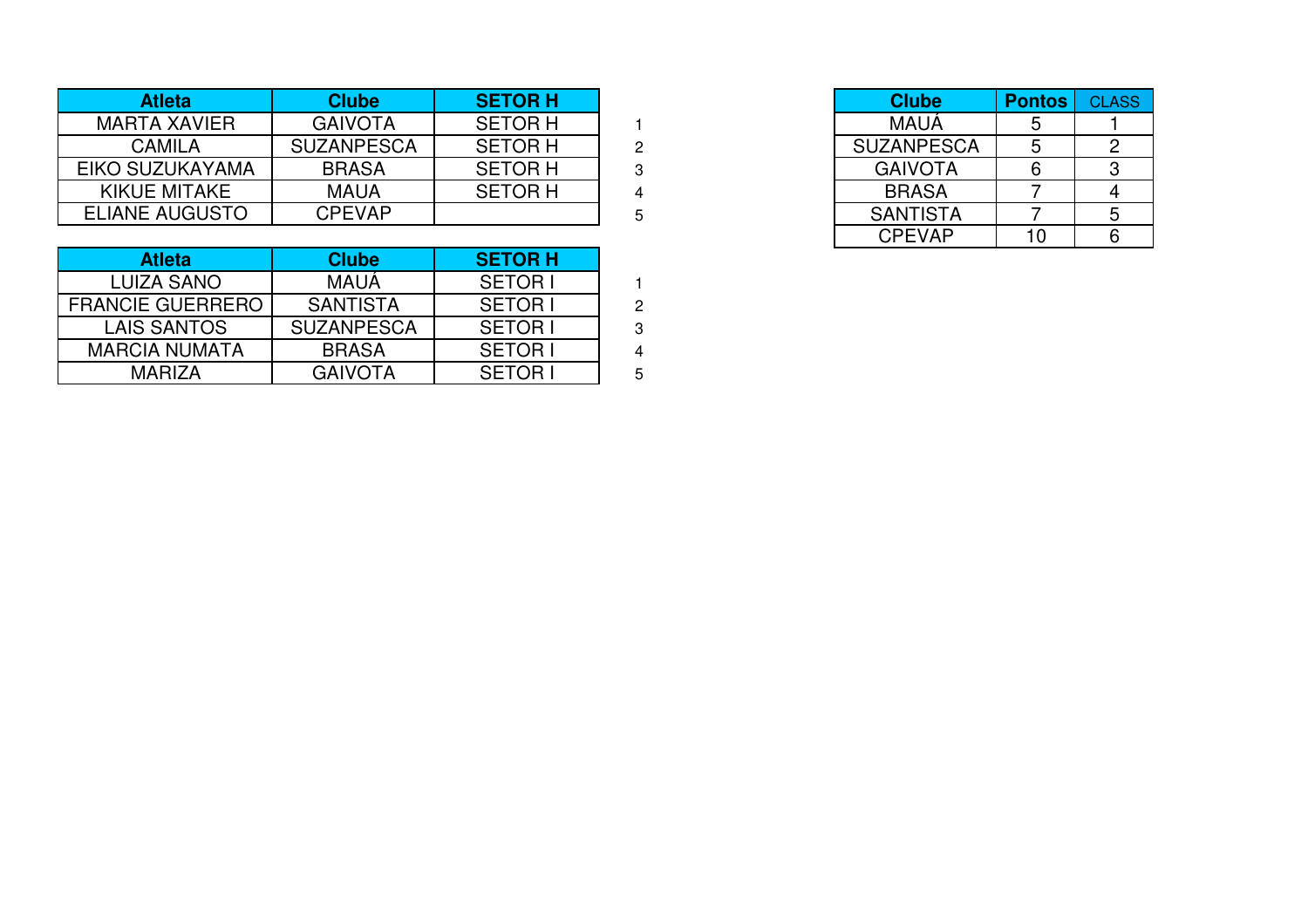| <b>Atleta</b>         | <b>Clube</b>      | <b>SETOR H</b> |
|-----------------------|-------------------|----------------|
| <b>MARTA XAVIER</b>   | <b>GAIVOTA</b>    | <b>SETOR H</b> |
| <b>CAMILA</b>         | <b>SUZANPESCA</b> | <b>SETOR H</b> |
| EIKO SUZUKAYAMA       | <b>BRASA</b>      | <b>SETOR H</b> |
| KIKUE MITAKE          | <b>MAUA</b>       | <b>SETOR H</b> |
| <b>ELIANE AUGUSTO</b> | <b>CPEVAP</b>     |                |

| <b>Atleta</b>           | <b>Clube</b>      | <b>SETOR H</b> |  |
|-------------------------|-------------------|----------------|--|
| <b>LUIZA SANO</b>       | <b>MAUA</b>       | <b>SETORI</b>  |  |
| <b>FRANCIE GUERRERO</b> | <b>SANTISTA</b>   | <b>SETORI</b>  |  |
| <b>LAIS SANTOS</b>      | <b>SUZANPESCA</b> | <b>SETORI</b>  |  |
| <b>MARCIA NUMATA</b>    | <b>BRASA</b>      | <b>SETORI</b>  |  |
| MARIZA                  | <b>GAIVOTA</b>    | <b>SETORI</b>  |  |

|            | <b>SETOR H</b> |   | <b>Clube</b>      | <b>Pontos</b> | <b>CLASS</b> |
|------------|----------------|---|-------------------|---------------|--------------|
| ĪΑ         | <b>SETOR H</b> |   | <b>MAUÁ</b>       |               |              |
| <b>SCA</b> | <b>SETOR H</b> | 2 | <b>SUZANPESCA</b> |               |              |
|            | <b>SETOR H</b> | റ | <b>GAIVOTA</b>    |               |              |
|            | <b>SETOR H</b> |   | <b>BRASA</b>      |               |              |
| Þ          |                | 5 | <b>SANTISTA</b>   |               |              |
|            |                |   | <b>CPEVAP</b>     | 10            |              |
|            | <b>APRAIL</b>  |   |                   |               |              |